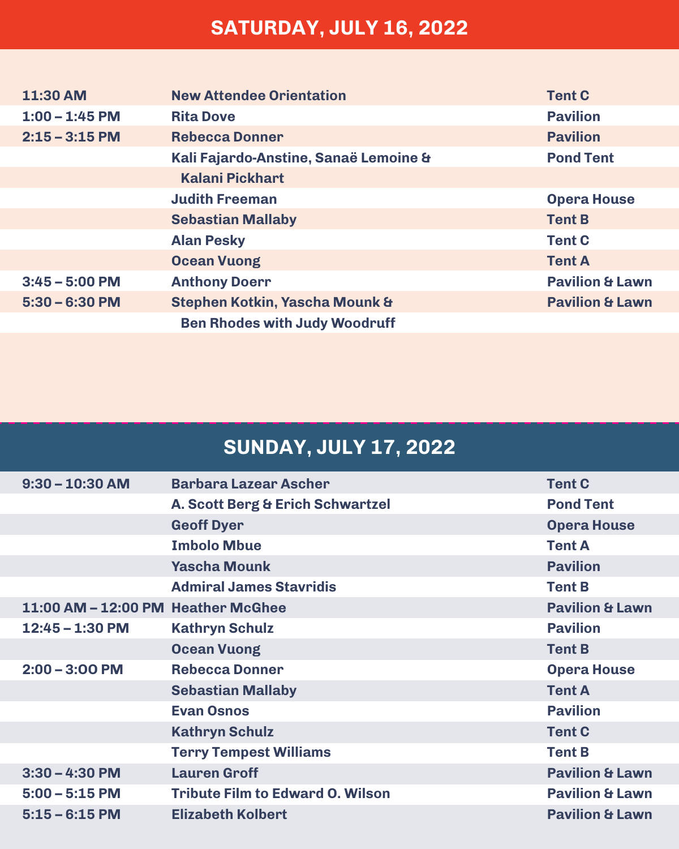## **SATURDAY, JULY 16, 2022**

| 11:30 AM         | <b>New Attendee Orientation</b>       | <b>Tent C</b>              |
|------------------|---------------------------------------|----------------------------|
| $1:00 - 1:45$ PM | <b>Rita Dove</b>                      | <b>Pavilion</b>            |
| $2:15 - 3:15$ PM | <b>Rebecca Donner</b>                 | <b>Pavilion</b>            |
|                  | Kali Fajardo-Anstine, Sanaë Lemoine & | <b>Pond Tent</b>           |
|                  | <b>Kalani Pickhart</b>                |                            |
|                  | <b>Judith Freeman</b>                 | <b>Opera House</b>         |
|                  | <b>Sebastian Mallaby</b>              | <b>Tent B</b>              |
|                  | <b>Alan Pesky</b>                     | <b>Tent C</b>              |
|                  | <b>Ocean Vuong</b>                    | <b>Tent A</b>              |
| $3:45 - 5:00$ PM | <b>Anthony Doerr</b>                  | <b>Pavilion &amp; Lawn</b> |
| $5:30 - 6:30$ PM | Stephen Kotkin, Yascha Mounk &        | <b>Pavilion &amp; Lawn</b> |
|                  | <b>Ben Rhodes with Judy Woodruff</b>  |                            |

## **SUNDAY, JULY 17, 2022**

| $9:30 - 10:30$ AM                  | <b>Barbara Lazear Ascher</b>            | <b>Tent C</b>              |
|------------------------------------|-----------------------------------------|----------------------------|
|                                    | A. Scott Berg & Erich Schwartzel        | <b>Pond Tent</b>           |
|                                    | <b>Geoff Dyer</b>                       | <b>Opera House</b>         |
|                                    | <b>Imbolo Mbue</b>                      | <b>Tent A</b>              |
|                                    | <b>Yascha Mounk</b>                     | <b>Pavilion</b>            |
|                                    | <b>Admiral James Stavridis</b>          | <b>Tent B</b>              |
| 11:00 AM - 12:00 PM Heather McGhee |                                         | <b>Pavilion &amp; Lawn</b> |
| $12:45 - 1:30$ PM                  | <b>Kathryn Schulz</b>                   | <b>Pavilion</b>            |
|                                    | <b>Ocean Vuong</b>                      | <b>Tent B</b>              |
| $2:00 - 3:00$ PM                   | <b>Rebecca Donner</b>                   | <b>Opera House</b>         |
|                                    | <b>Sebastian Mallaby</b>                | <b>Tent A</b>              |
|                                    | <b>Evan Osnos</b>                       | <b>Pavilion</b>            |
|                                    | <b>Kathryn Schulz</b>                   | <b>Tent C</b>              |
|                                    | <b>Terry Tempest Williams</b>           | <b>Tent B</b>              |
| $3:30 - 4:30$ PM                   | <b>Lauren Groff</b>                     | <b>Pavilion &amp; Lawn</b> |
| $5:00 - 5:15$ PM                   | <b>Tribute Film to Edward O. Wilson</b> | <b>Pavilion &amp; Lawn</b> |
| $5:15 - 6:15$ PM                   | <b>Elizabeth Kolbert</b>                | <b>Pavilion &amp; Lawn</b> |